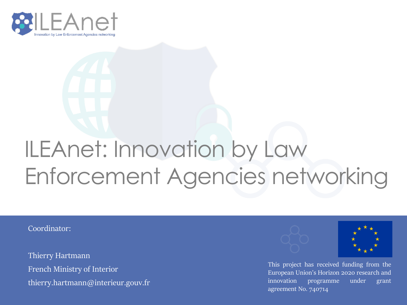

# ILEAnet: Innovation by Law Enforcement Agencies networking

Coordinator:

Thierry Hartmann French Ministry of Interior thierry.hartmann@interieur.gouv.fr





This project has received funding from the European Union's Horizon 2020 research and innovation programme under grant agreement No. 740714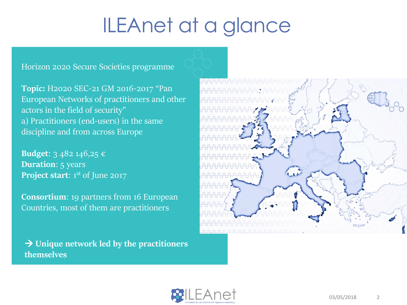### ILEAnet at a glance

Horizon 2020 Secure Societies programme

**Topic:** H2020 SEC-21 GM 2016-2017 "Pan European Networks of practitioners and other actors in the field of security" a) Practitioners (end-users) in the same discipline and from across Europe

**Budget**: 3 482 146,25 € **Duration**: 5 years **Project start:** 1<sup>st</sup> of June 2017

**Consortium**: 19 partners from 16 European Countries, most of them are practitioners

 **Unique network led by the practitioners themselves**



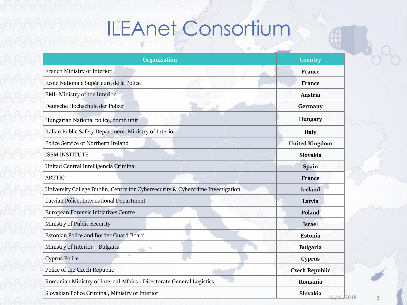# ILEAnet Consortium

| <b>Organisation</b>                                                            | <b>Country</b>        |
|--------------------------------------------------------------------------------|-----------------------|
| French Ministry of Interior                                                    | France                |
| Ecole Nationale Supérieure de la Police                                        | France                |
| <b>BMI- Ministry of the Interior</b>                                           | Austria               |
| Deutsche Hochschule der Polizei                                                | Germany               |
| Hungarian National police, bomb unit                                           | Hungary               |
| Italian Public Safety Department, Ministry of Interior                         | <b>Italy</b>          |
| Police Service of Northern Ireland                                             | <b>United Kingdom</b> |
| <b>ISEM INSTITUTE</b>                                                          | Slovakia              |
| Unitad Central Intelligencia Criminal                                          | Spain                 |
| <b>ARTTIC</b>                                                                  | France                |
| University College Dublin, Centre for Cybersecurity & Cybercrime Investigation | <b>Ireland</b>        |
| Latvian Police, International Department                                       | Latvia                |
| European Forensic Initiatives Centre                                           | Poland                |
| Ministry of Public Security                                                    | <b>Israel</b>         |
| <b>Estonian Police and Border Guard Board</b>                                  | <b>Estonia</b>        |
| Ministry of Interior - Bulgaria                                                | <b>Bulgaria</b>       |
| <b>Cyprus Police</b>                                                           | <b>Cyprus</b>         |
| Police of the Czech Republic                                                   | <b>Czech Republic</b> |
| Romanian Ministry of Internal Affairs - Directorate General Logistics          | Romania               |
| Slovakian Police Criminal, Ministry of Interior                                | Slovakia<br>いろ いい     |

 $\mathcal{A}$ 

2018 3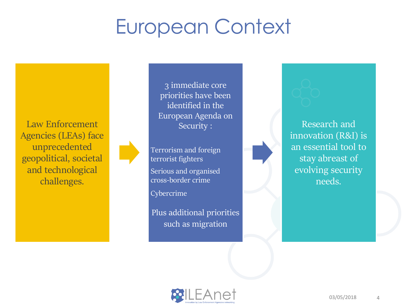#### European Context

Law Enforcement Agencies (LEAs) face unprecedented geopolitical, societal and technological challenges.



3 immediate core priorities have been identified in the European Agenda on Security :

Terrorism and foreign terrorist fighters

Serious and organised cross-border crime

**Cybercrime** 

Plus additional priorities such as migration

Research and innovation (R&I) is an essential tool to stay abreast of evolving security needs.

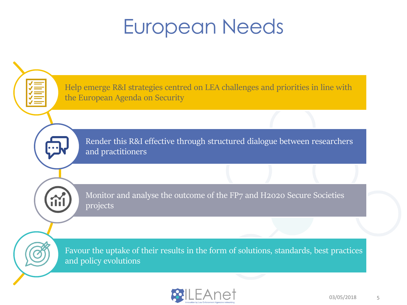#### European Needs



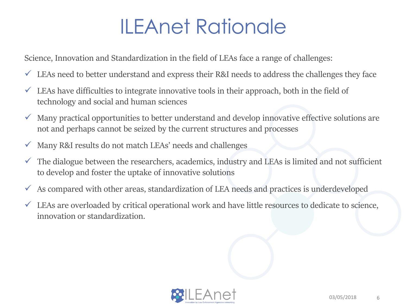## ILEAnet Rationale

Science, Innovation and Standardization in the field of LEAs face a range of challenges:

- $\checkmark$  LEAs need to better understand and express their R&I needs to address the challenges they face
- $\checkmark$  LEAs have difficulties to integrate innovative tools in their approach, both in the field of technology and social and human sciences
- $\checkmark$  Many practical opportunities to better understand and develop innovative effective solutions are not and perhaps cannot be seized by the current structures and processes
- $\checkmark$  Many R&I results do not match LEAs' needs and challenges
- $\checkmark$  The dialogue between the researchers, academics, industry and LEAs is limited and not sufficient to develop and foster the uptake of innovative solutions
- $\checkmark$  As compared with other areas, standardization of LEA needs and practices is underdeveloped
- $\checkmark$  LEAs are overloaded by critical operational work and have little resources to dedicate to science, innovation or standardization.

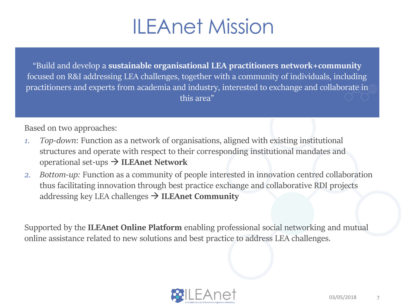#### ILEAnet Mission

"Build and develop a **sustainable organisational LEA practitioners network+community** focused on R&I addressing LEA challenges, together with a community of individuals, including practitioners and experts from academia and industry, interested to exchange and collaborate in this area"

Based on two approaches:

- *1. Top-down*: Function as a network of organisations, aligned with existing institutional structures and operate with respect to their corresponding institutional mandates and operational set-ups **ILEAnet Network**
- *2. Bottom-up:* Function as a community of people interested in innovation centred collaboration thus facilitating innovation through best practice exchange and collaborative RDI projects addressing key LEA challenges  $\rightarrow$  **ILEAnet Community**

Supported by the **ILEAnet Online Platform** enabling professional social networking and mutual online assistance related to new solutions and best practice to address LEA challenges.

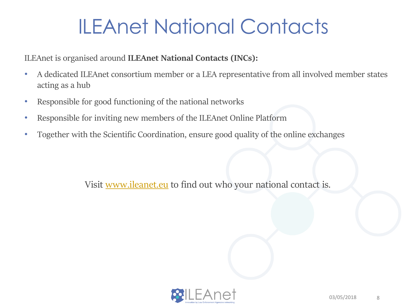### ILEAnet National Contacts

ILEAnet is organised around **ILEAnet National Contacts (INCs):**

- A dedicated ILEAnet consortium member or a LEA representative from all involved member states acting as a hub
- Responsible for good functioning of the national networks
- Responsible for inviting new members of the ILEAnet Online Platform
- Together with the Scientific Coordination, ensure good quality of the online exchanges

Visit [www.ileanet.eu](http://www.ileanet.eu/) to find out who your national contact is.

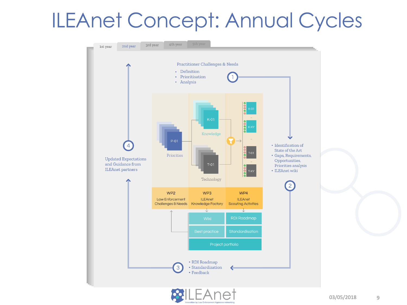#### ILEAnet Concept: Annual Cycles



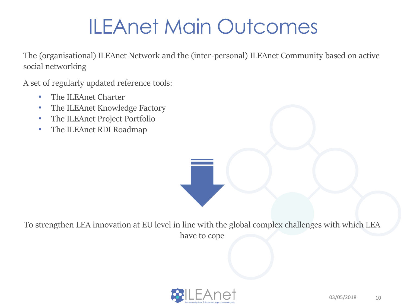### ILEAnet Main Outcomes

The (organisational) ILEAnet Network and the (inter-personal) ILEAnet Community based on active social networking

A set of regularly updated reference tools:

- The ILEAnet Charter
- The ILEAnet Knowledge Factory
- The ILEAnet Project Portfolio
- The ILEAnet RDI Roadmap

To strengthen LEA innovation at EU level in line with the global complex challenges with which LEA have to cope

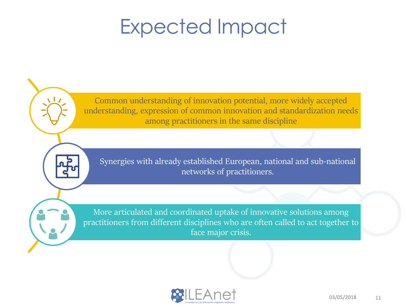### Expected Impact

Common understanding of innovation potential, more widely accepted understanding, expression of common innovation and standardization needs among practitioners in the same discipline

Synergies with already established European, national and sub-national networks of practitioners.

More articulated and coordinated uptake of innovative solutions among practitioners from different disciplines who are often called to act together to face major crisis.

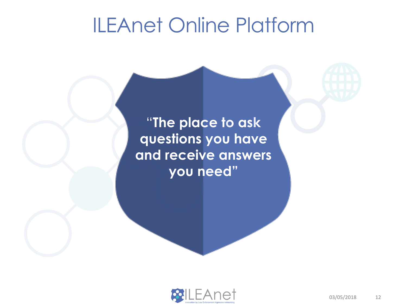#### ILEAnet Online Platform

"**The place to ask questions you have and receive answers you need"**

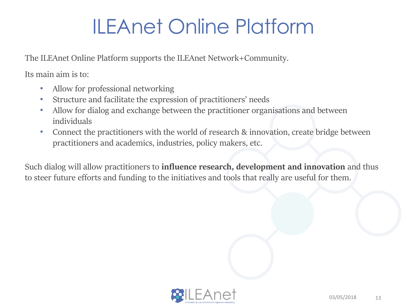## ILEAnet Online Platform

The ILEAnet Online Platform supports the ILEAnet Network+Community.

Its main aim is to:

- Allow for professional networking
- Structure and facilitate the expression of practitioners' needs
- Allow for dialog and exchange between the practitioner organisations and between individuals
- Connect the practitioners with the world of research & innovation, create bridge between practitioners and academics, industries, policy makers, etc.

Such dialog will allow practitioners to **influence research, development and innovation** and thus to steer future efforts and funding to the initiatives and tools that really are useful for them.

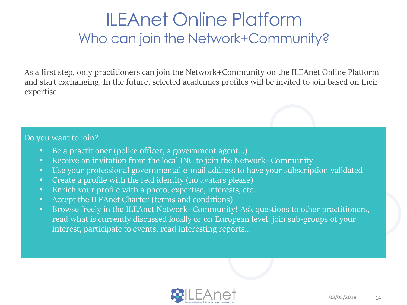#### ILEAnet Online Platform Who can join the Network+Community?

As a first step, only practitioners can join the Network+Community on the ILEAnet Online Platform and start exchanging. In the future, selected academics profiles will be invited to join based on their expertise.

#### Do you want to join?

- Be a practitioner (police officer, a government agent...)
- Receive an invitation from the local INC to join the Network+Community
- Use your professional governmental e-mail address to have your subscription validated
- Create a profile with the real identity (no avatars please)
- Enrich your profile with a photo, expertise, interests, etc.
- Accept the ILEAnet Charter (terms and conditions)
- Browse freely in the ILEAnet Network+Community! Ask questions to other practitioners, read what is currently discussed locally or on European level, join sub-groups of your interest, participate to events, read interesting reports…